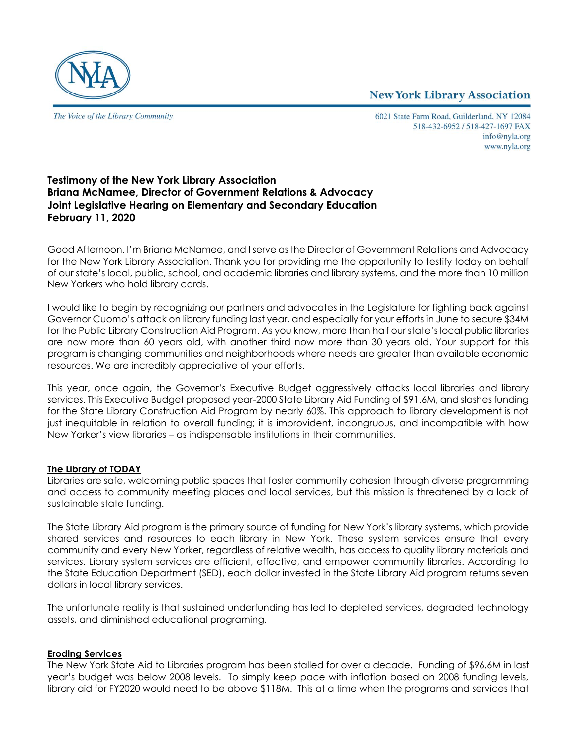**New York Library Association** 



The Voice of the Library Community

6021 State Farm Road, Guilderland, NY 12084 518-432-6952 / 518-427-1697 FAX info@nyla.org www.nyla.org

# **Testimony of the New York Library Association Briana McNamee, Director of Government Relations & Advocacy Joint Legislative Hearing on Elementary and Secondary Education February 11, 2020**

Good Afternoon. I'm Briana McNamee, and I serve as the Director of Government Relations and Advocacy for the New York Library Association. Thank you for providing me the opportunity to testify today on behalf of our state's local, public, school, and academic libraries and library systems, and the more than 10 million New Yorkers who hold library cards.

I would like to begin by recognizing our partners and advocates in the Legislature for fighting back against Governor Cuomo's attack on library funding last year, and especially for your efforts in June to secure \$34M for the Public Library Construction Aid Program. As you know, more than half our state's local public libraries are now more than 60 years old, with another third now more than 30 years old. Your support for this program is changing communities and neighborhoods where needs are greater than available economic resources. We are incredibly appreciative of your efforts.

This year, once again, the Governor's Executive Budget aggressively attacks local libraries and library services. This Executive Budget proposed year-2000 State Library Aid Funding of \$91.6M, and slashes funding for the State Library Construction Aid Program by nearly 60%. This approach to library development is not just inequitable in relation to overall funding; it is improvident, incongruous, and incompatible with how New Yorker's view libraries – as indispensable institutions in their communities.

## **The Library of TODAY**

Libraries are safe, welcoming public spaces that foster community cohesion through diverse programming and access to community meeting places and local services, but this mission is threatened by a lack of sustainable state funding.

The State Library Aid program is the primary source of funding for New York's library systems, which provide shared services and resources to each library in New York. These system services ensure that every community and every New Yorker, regardless of relative wealth, has access to quality library materials and services. Library system services are efficient, effective, and empower community libraries. According to the State Education Department (SED), each dollar invested in the State Library Aid program returns seven dollars in local library services.

The unfortunate reality is that sustained underfunding has led to depleted services, degraded technology assets, and diminished educational programing.

## **Eroding Services**

The New York State Aid to Libraries program has been stalled for over a decade. Funding of \$96.6M in last year's budget was below 2008 levels. To simply keep pace with inflation based on 2008 funding levels, library aid for FY2020 would need to be above \$118M. This at a time when the programs and services that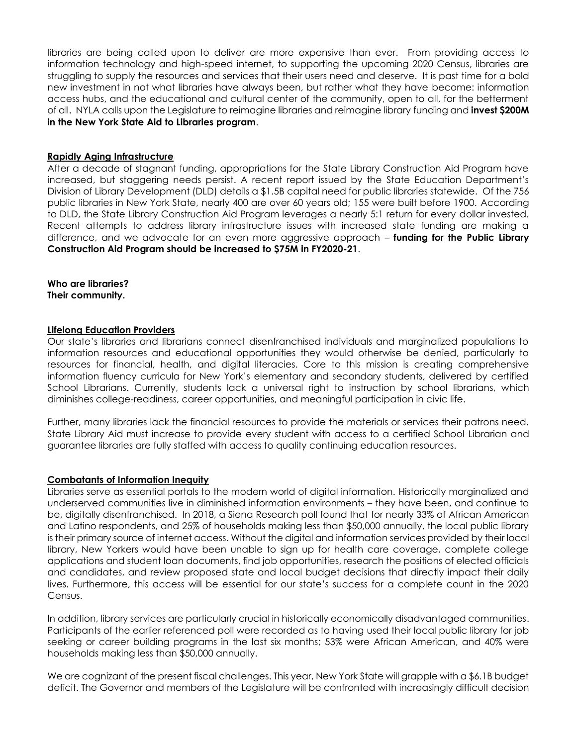libraries are being called upon to deliver are more expensive than ever. From providing access to information technology and high-speed internet, to supporting the upcoming 2020 Census, libraries are struggling to supply the resources and services that their users need and deserve. It is past time for a bold new investment in not what libraries have always been, but rather what they have become: information access hubs, and the educational and cultural center of the community, open to all, for the betterment of all. NYLA calls upon the Legislature to reimagine libraries and reimagine library funding and **invest \$200M in the New York State Aid to Libraries program**.

### **Rapidly Aging Infrastructure**

After a decade of stagnant funding, appropriations for the State Library Construction Aid Program have increased, but staggering needs persist. A recent report issued by the State Education Department's Division of Library Development (DLD) details a \$1.5B capital need for public libraries statewide. Of the 756 public libraries in New York State, nearly 400 are over 60 years old; 155 were built before 1900. According to DLD, the State Library Construction Aid Program leverages a nearly 5:1 return for every dollar invested. Recent attempts to address library infrastructure issues with increased state funding are making a difference, and we advocate for an even more aggressive approach – **funding for the Public Library Construction Aid Program should be increased to \$75M in FY2020-21**.

**Who are libraries? Their community.** 

#### **Lifelong Education Providers**

Our state's libraries and librarians connect disenfranchised individuals and marginalized populations to information resources and educational opportunities they would otherwise be denied, particularly to resources for financial, health, and digital literacies. Core to this mission is creating comprehensive information fluency curricula for New York's elementary and secondary students, delivered by certified School Librarians. Currently, students lack a universal right to instruction by school librarians, which diminishes college-readiness, career opportunities, and meaningful participation in civic life.

Further, many libraries lack the financial resources to provide the materials or services their patrons need. State Library Aid must increase to provide every student with access to a certified School Librarian and guarantee libraries are fully staffed with access to quality continuing education resources.

## **Combatants of Information Inequity**

Libraries serve as essential portals to the modern world of digital information. Historically marginalized and underserved communities live in diminished information environments – they have been, and continue to be, digitally disenfranchised. In 2018, a Siena Research poll found that for nearly 33% of African American and Latino respondents, and 25% of households making less than \$50,000 annually, the local public library is their primary source of internet access. Without the digital and information services provided by their local library, New Yorkers would have been unable to sign up for health care coverage, complete college applications and student loan documents, find job opportunities, research the positions of elected officials and candidates, and review proposed state and local budget decisions that directly impact their daily lives. Furthermore, this access will be essential for our state's success for a complete count in the 2020 Census.

In addition, library services are particularly crucial in historically economically disadvantaged communities. Participants of the earlier referenced poll were recorded as to having used their local public library for job seeking or career building programs in the last six months; 53% were African American, and 40% were households making less than \$50,000 annually.

We are cognizant of the present fiscal challenges. This year, New York State will grapple with a \$6.1B budget deficit. The Governor and members of the Legislature will be confronted with increasingly difficult decision